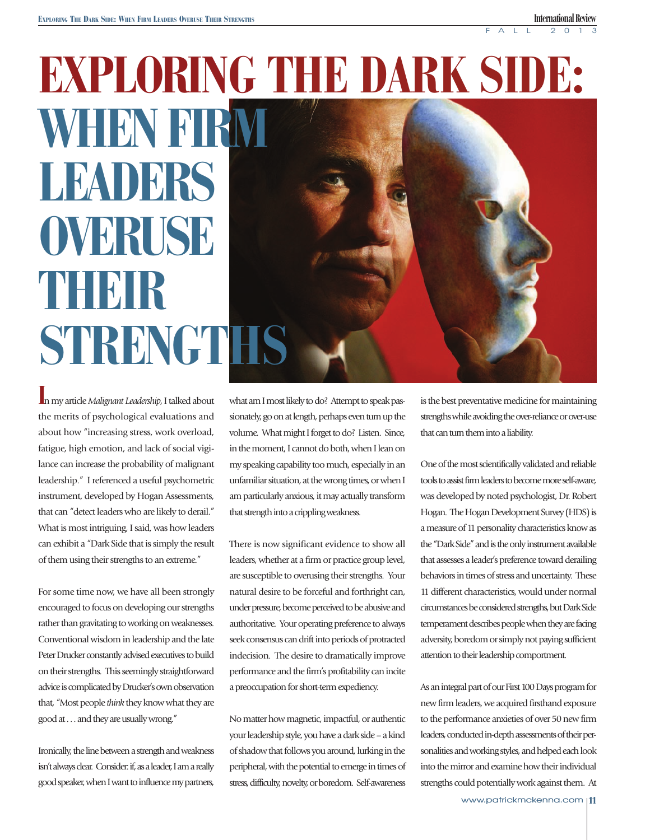# **EXPLORING THE DARK SIDE: WHEN FIRM LEADERS OVERUSE THEIR STRENGTHS**

**I**n my article *Malignant Leadership*, I talked about the merits of psychological evaluations and about how "increasing stress, work overload, fatigue, high emotion, and lack of social vigilance can increase the probability of malignant leadership." I referenced a useful psychometric instrument, developed by Hogan Assessments, that can "detect leaders who are likely to derail." What is most intriguing, I said, was how leaders can exhibit a "Dark Side that is simply the result of them using their strengths to an extreme."

For some time now, we have all been strongly encouraged to focus on developing our strengths rather than gravitating to working on weaknesses. Conventional wisdom in leadership and the late Peter Drucker constantly advised executives to build on their strengths. This seemingly straightforward advice is complicated by Drucker's own observation that, "Most people *think* they know what they are good at . . . and they are usually wrong."

Ironically, the line between a strength and weakness isn't always clear. Consider: if, as a leader, I am a really good speaker, when I want to influence my partners,

what am I most likely to do? Attempt to speak passionately, go on at length, perhaps even turn up the volume. What might I forget to do? Listen. Since, in the moment, I cannot do both, when I lean on my speaking capability too much, especially in an unfamiliar situation, at the wrong times, or when I am particularly anxious, it may actually transform that strength into a crippling weakness.

There is now significant evidence to show all leaders, whether at a firm or practice group level, are susceptible to overusing their strengths. Your natural desire to be forceful and forthright can, under pressure, become perceived to be abusive and authoritative. Your operating preference to always seek consensus can drift into periods of protracted indecision. The desire to dramatically improve performance and the firm's profitability can incite a preoccupation for short-term expediency.

No matter how magnetic, impactful, or authentic your leadership style, you have a dark side – a kind of shadow that follows you around, lurking in the peripheral, with the potential to emerge in times of stress, difficulty, novelty, or boredom. Self-awareness

is the best preventative medicine for maintaining strengths while avoiding the over-reliance or over-use that can turn them into a liability.

One of the most scientifically validated and reliable tools to assist firm leaders to become more self-aware, was developed by noted psychologist, Dr. Robert Hogan. The Hogan Development Survey (HDS) is a measure of 11 personality characteristics know as the "Dark Side" and is the only instrument available that assesses a leader's preference toward derailing behaviors in times of stress and uncertainty. These 11 different characteristics, would under normal circumstances be considered strengths, but Dark Side temperament describes people when they are facing adversity, boredom or simply not paying sufficient attention to their leadership comportment.

As an integral part of our First 100 Days program for new firm leaders, we acquired firsthand exposure to the performance anxieties of over 50 new firm leaders, conducted in-depth assessments of their personalities and working styles, and helped each look into the mirror and examine how their individual strengths could potentially work against them. At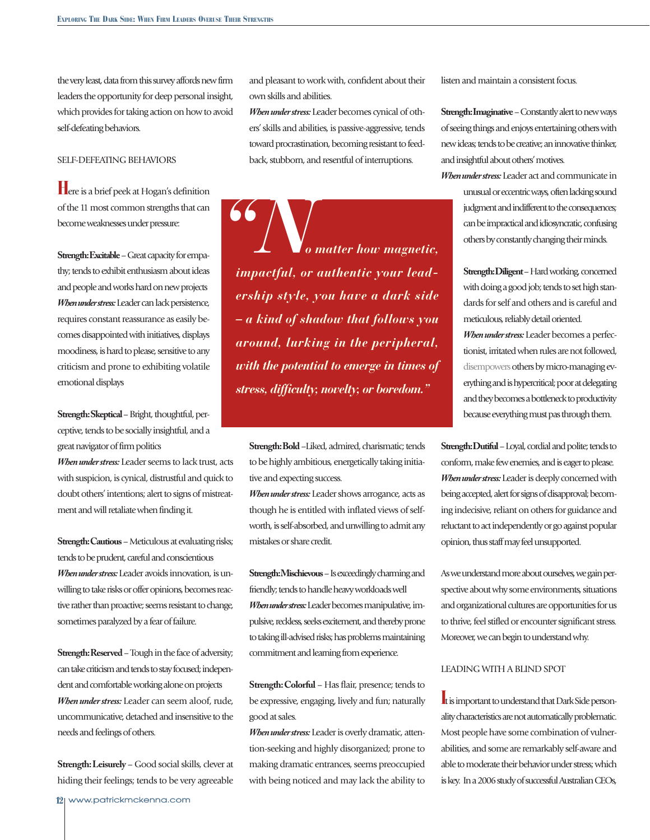the very least, data from this survey affords new firm leaders the opportunity for deep personal insight, which provides for taking action on how to avoid self-defeating behaviors.

## SELF-DEFEATING BEHAVIORS

**H**ere is a brief peek at Hogan's definition of the 11 most common strengths that can become weaknesses under pressure:

**Strength: Excitable** – Great capacity for empathy; tends to exhibit enthusiasm about ideas and people and works hard on new projects *When under stress:* Leader can lack persistence, requires constant reassurance as easily becomes disappointed with initiatives, displays moodiness, is hard to please, sensitive to any criticism and prone to exhibiting volatile emotional displays

**Strength: Skeptical** – Bright, thoughtful, perceptive, tends to be socially insightful, and a great navigator of firm politics

*When under stress:* Leader seems to lack trust, acts with suspicion, is cynical, distrustful and quick to doubt others' intentions; alert to signs of mistreatment and will retaliate when finding it.

**Strength: Cautious** – Meticulous at evaluating risks; tends to be prudent, careful and conscientious *When under stress:* Leader avoids innovation, is unwilling to take risks or offer opinions, becomes reactive rather than proactive; seems resistant to change, sometimes paralyzed by a fear of failure.

**Strength: Reserved** – Tough in the face of adversity; can take criticism and tends to stay focused; independent and comfortable working alone on projects *When under stress:* Leader can seem aloof, rude, uncommunicative, detached and insensitive to the needs and feelings of others.

**Strength: Leisurely** – Good social skills, clever at hiding their feelings; tends to be very agreeable

**12** www.patrickmckenna.com

and pleasant to work with, confident about their own skills and abilities.

*When under stress:* Leader becomes cynical of others' skills and abilities, is passive-aggressive, tends toward procrastination, becoming resistant to feedback, stubborn, and resentful of interruptions.

 *o matter how magnetic, impactful, or authentic your leadership style, you have a dark side – a kind of shadow that follows you around, lurking in the peripheral, with the potential to emerge in times of stress, difficulty, novelty, or boredom." "N*

> **Strength: Bold** –Liked, admired, charismatic; tends to be highly ambitious, energetically taking initiative and expecting success.

> *When under stress:* Leader shows arrogance, acts as though he is entitled with inflated views of selfworth, is self-absorbed, and unwilling to admit any mistakes or share credit.

> **Strength: Mischievous** – Is exceedingly charming and friendly; tends to handle heavy workloads well *When under stress:* Leader becomes manipulative, impulsive, reckless, seeks excitement, and thereby prone to taking ill-advised risks; has problems maintaining commitment and learning from experience.

> **Strength: Colorful** – Has flair, presence; tends to be expressive, engaging, lively and fun; naturally good at sales.

> *When under stress:* Leader is overly dramatic, attention-seeking and highly disorganized; prone to making dramatic entrances, seems preoccupied with being noticed and may lack the ability to

listen and maintain a consistent focus.

**Strength: Imaginative** – Constantly alert to new ways of seeing things and enjoys entertaining others with new ideas; tends to be creative; an innovative thinker, and insightful about others' motives.

*When under stress:* Leader act and communicate in unusual or eccentric ways, often lacking sound judgment and indifferent to the consequences; can be impractical and idiosyncratic, confusing others by constantly changing their minds.

> **Strength: Diligent** – Hard working, concerned with doing a good job; tends to set high standards for self and others and is careful and meticulous, reliably detail oriented. *When under stress:* Leader becomes a perfectionist, irritated when rules are not followed, disempowers others by micro-managing everything and is hypercritical; poor at delegating and they becomes a bottleneck to productivity because everything must pas through them.

**Strength: Dutiful** – Loyal, cordial and polite; tends to conform, make few enemies, and is eager to please. *When under stress:* Leader is deeply concerned with being accepted, alert for signs of disapproval; becoming indecisive, reliant on others for guidance and reluctant to act independently or go against popular opinion, thus staff may feel unsupported.

As we understand more about ourselves, we gain perspective about why some environments, situations and organizational cultures are opportunities for us to thrive, feel stifled or encounter significant stress. Moreover, we can begin to understand why.

# LEADING WITH A BLIND SPOT

**I**t is important to understand that Dark Side personality characteristics are not automatically problematic. Most people have some combination of vulnerabilities, and some are remarkably self-aware and able to moderate their behavior under stress; which is key. In a 2006 study of successful Australian CEOs,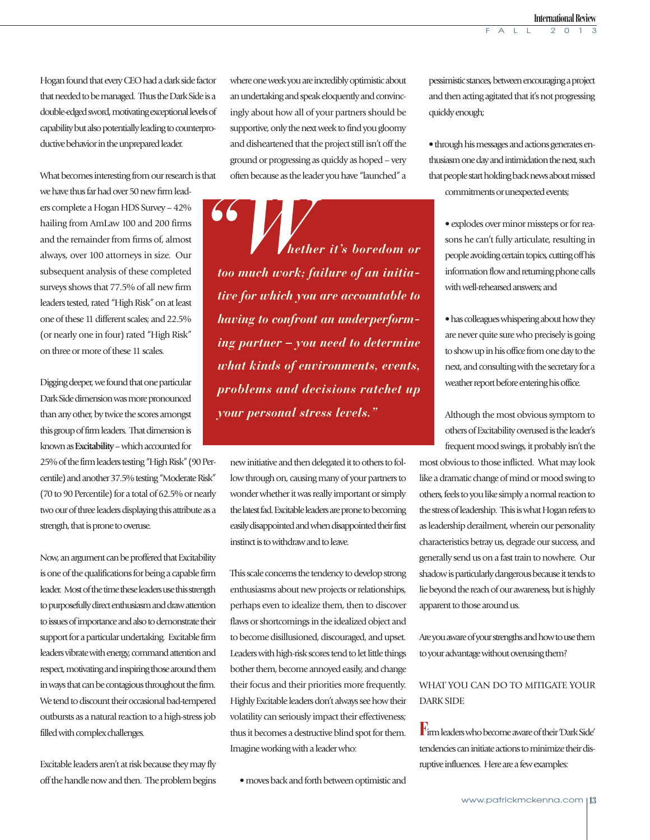Hogan found that every CEO had a dark side factor that needed to be managed. Thus the Dark Side is a double-edged sword, motivating exceptional levels of capability but also potentially leading to counterproductive behavior in the unprepared leader.

What becomes interesting from our research is that

we have thus far had over 50 new firm leaders complete a Hogan HDS Survey – 42% hailing from AmLaw 100 and 200 firms and the remainder from firms of, almost always, over 100 attorneys in size. Our subsequent analysis of these completed surveys shows that 77.5% of all new firm leaders tested, rated "High Risk" on at least one of these 11 different scales; and 22.5% (or nearly one in four) rated "High Risk" on three or more of these 11 scales.

Digging deeper, we found that one particular Dark Side dimension was more pronounced than any other, by twice the scores amongst this group of firm leaders. That dimension is known as **Excitability** – which accounted for 25% of the firm leaders testing "High Risk" (90 Percentile) and another 37.5% testing "Moderate Risk" (70 to 90 Percentile) for a total of 62.5% or nearly two our of three leaders displaying this attribute as a strength, that is prone to overuse.

Now, an argument can be proffered that Excitability is one of the qualifications for being a capable firm leader. Most of the time these leaders use this strength to purposefully direct enthusiasm and draw attention to issues of importance and also to demonstrate their support for a particular undertaking. Excitable firm leaders vibrate with energy, command attention and respect, motivating and inspiring those around them in ways that can be contagious throughout the firm. We tend to discount their occasional bad-tempered outbursts as a natural reaction to a high-stress job filled with complex challenges.

Excitable leaders aren't at risk because they may fly off the handle now and then. The problem begins where one week you are incredibly optimistic about an undertaking and speak eloquently and convincingly about how all of your partners should be supportive, only the next week to find you gloomy and disheartened that the project still isn't off the ground or progressing as quickly as hoped – very often because as the leader you have "launched" a

 *hether it's boredom or too much work; failure of an initiative for which you are accountable to having to confront an underperforming partner – you need to determine what kinds of environments, events, problems and decisions ratchet up your personal stress levels."* **66** Wheth

> new initiative and then delegated it to others to follow through on, causing many of your partners to wonder whether it was really important or simply the latest fad. Excitable leaders are prone to becoming easily disappointed and when disappointed their first instinct is to withdraw and to leave.

> This scale concerns the tendency to develop strong enthusiasms about new projects or relationships, perhaps even to idealize them, then to discover flaws or shortcomings in the idealized object and to become disillusioned, discouraged, and upset. Leaders with high-risk scores tend to let little things bother them, become annoyed easily, and change their focus and their priorities more frequently. Highly Excitable leaders don't always see how their volatility can seriously impact their effectiveness; thus it becomes a destructive blind spot for them. Imagine working with a leader who:

• moves back and forth between optimistic and

pessimistic stances, between encouraging a project and then acting agitated that it's not progressing quickly enough;

• through his messages and actions generates enthusiasm one day and intimidation the next, such that people start holding back news about missed commitments or unexpected events;

• explodes over minor missteps or for reasons he can't fully articulate, resulting in people avoiding certain topics, cutting off his information flow and returning phone calls with well-rehearsed answers; and

• has colleagues whispering about how they are never quite sure who precisely is going to show up in his office from one day to the next, and consulting with the secretary for a weather report before entering his office.

Although the most obvious symptom to others of Excitability overused is the leader's frequent mood swings, it probably isn't the

most obvious to those inflicted. What may look like a dramatic change of mind or mood swing to others, feels to you like simply a normal reaction to the stress of leadership. This is what Hogan refers to as leadership derailment, wherein our personality characteristics betray us, degrade our success, and generally send us on a fast train to nowhere. Our shadow is particularly dangerous because it tends to lie beyond the reach of our awareness, but is highly apparent to those around us.

Are you aware of your strengths and how to use them to your advantage without overusing them?

# WHAT YOU CAN DO TO MITIGATE YOUR DARK SIDE

**F**irm leaders who become aware of their 'Dark Side' tendencies can initiate actions to minimize their disruptive influences. Here are a few examples: